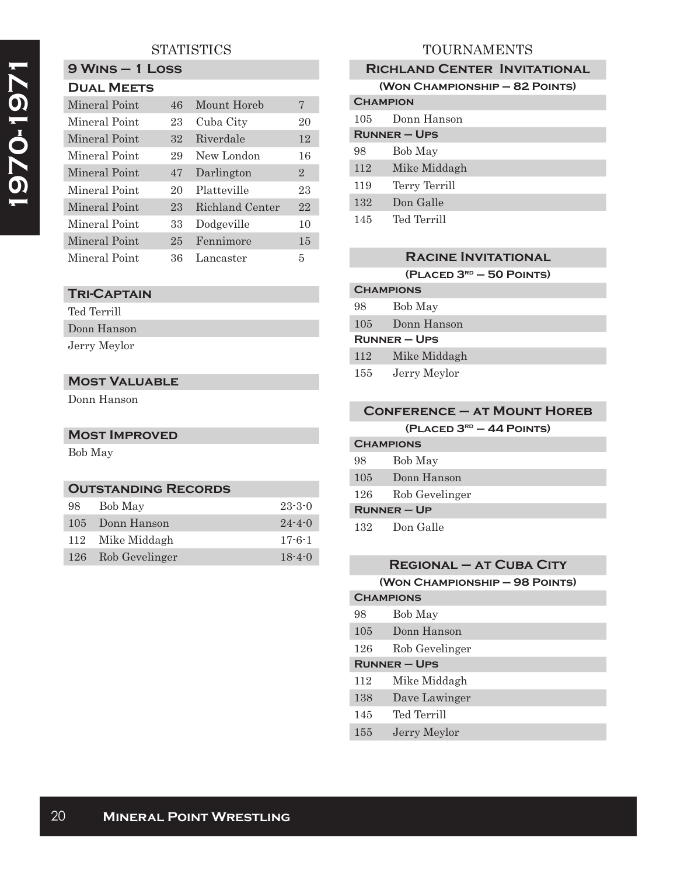# **STATISTICS**

| <b>DUAL MEETS</b> |    |                 |                |
|-------------------|----|-----------------|----------------|
| Mineral Point     | 46 | Mount Horeb     | 7              |
| Mineral Point     | 23 | Cuba City       | 20             |
| Mineral Point     | 32 | Riverdale       | 12             |
| Mineral Point     | 29 | New London      | 16             |
| Mineral Point     | 47 | Darlington      | $\overline{2}$ |
| Mineral Point     | 20 | Platteville     | 23             |
| Mineral Point     | 23 | Richland Center | 22             |
| Mineral Point     | 33 | Dodgeville      | 10             |
| Mineral Point     | 25 | Fennimore       | 15             |
| Mineral Point     | 36 | Lancaster       | 5              |

# **Tri-Captain**

**9 Wins – 1 Loss**

| Ted Terrill  |  |
|--------------|--|
| Donn Hanson  |  |
| Jerry Meylor |  |

### **Most Valuable**

Donn Hanson

## **Most Improved**

Bob May

### **Outstanding Records**

| 98 | Bob May            | $23 - 3 - 0$ |
|----|--------------------|--------------|
|    | 105 Donn Hanson    | $24 - 4 - 0$ |
|    | 112 Mike Middagh   | $17 - 6 - 1$ |
|    | 126 Rob Gevelinger | $18 - 4 - 0$ |

# TOURNAMENTS

| <b>RICHLAND CENTER INVITATIONAL</b> |               |  |
|-------------------------------------|---------------|--|
| (WON CHAMPIONSHIP - 82 POINTS)      |               |  |
| <b>CHAMPION</b>                     |               |  |
| 105                                 | Donn Hanson   |  |
| $RUNNER - UPS$                      |               |  |
| 98                                  | Bob May       |  |
| 112                                 | Mike Middagh  |  |
| 119                                 | Terry Terrill |  |
| 132                                 | Don Galle     |  |
| 145                                 | Ted Terrill   |  |

### **Racine Invitational**

**(Placed 3rd – 50 Points)**

| <b>CHAMPIONS</b>    |  |  |
|---------------------|--|--|
| Bob May             |  |  |
| Donn Hanson         |  |  |
| <b>RUNNER – UPS</b> |  |  |
| Mike Middagh        |  |  |
| Jerry Meylor        |  |  |
|                     |  |  |

# **Conference – at Mount Horeb**

|  | (PLACED 3 <sup>RD</sup> – 44 POINTS) |
|--|--------------------------------------|
|--|--------------------------------------|

| <b>CHAMPIONS</b> |                |
|------------------|----------------|
| 98               | Bob May        |
| 105              | Donn Hanson    |
| 126              | Rob Gevelinger |
| $R$ UNNER – UP   |                |
| 132              | Don Galle      |

### **Regional – at Cuba City**

|  | (WON CHAMPIONSHIP - 98 POINTS) |  |  |
|--|--------------------------------|--|--|
|--|--------------------------------|--|--|

| <b>CHAMPIONS</b>    |                |
|---------------------|----------------|
| 98                  | Bob May        |
| 105                 | Donn Hanson    |
| 126                 | Rob Gevelinger |
| <b>RUNNER - UPS</b> |                |
| 112                 | Mike Middagh   |
| 138                 | Dave Lawinger  |
| 145                 | Ted Terrill    |
| 155                 | Jerry Meylor   |